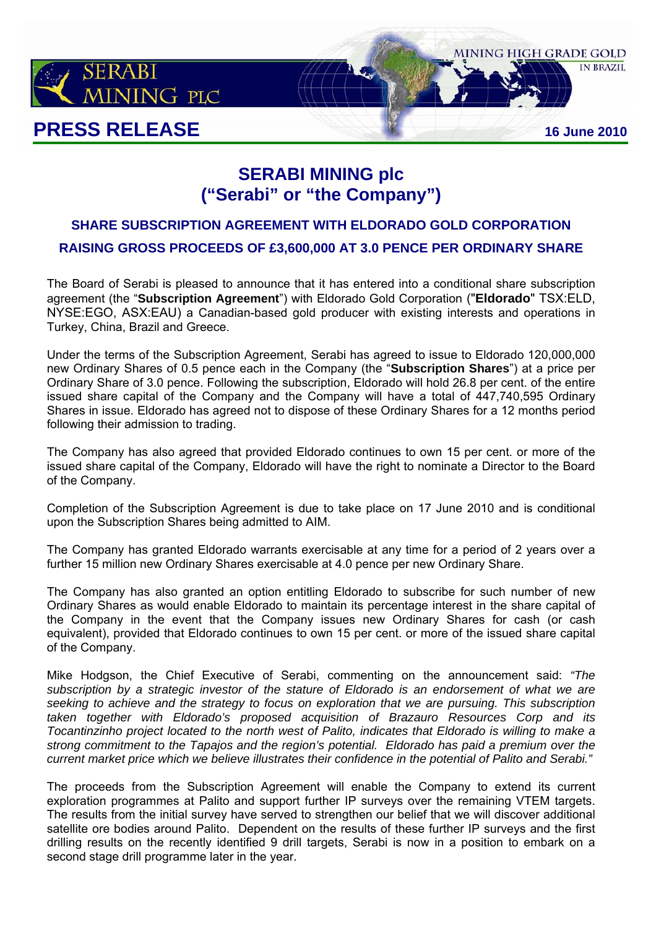

# **SERABI MINING plc ("Serabi" or "the Company")**

# **SHARE SUBSCRIPTION AGREEMENT WITH ELDORADO GOLD CORPORATION RAISING GROSS PROCEEDS OF £3,600,000 AT 3.0 PENCE PER ORDINARY SHARE**

The Board of Serabi is pleased to announce that it has entered into a conditional share subscription agreement (the "**Subscription Agreement**") with Eldorado Gold Corporation ("**Eldorado**" TSX:ELD, NYSE:EGO, ASX:EAU) a Canadian-based gold producer with existing interests and operations in Turkey, China, Brazil and Greece.

Under the terms of the Subscription Agreement, Serabi has agreed to issue to Eldorado 120,000,000 new Ordinary Shares of 0.5 pence each in the Company (the "**Subscription Shares**") at a price per Ordinary Share of 3.0 pence. Following the subscription, Eldorado will hold 26.8 per cent. of the entire issued share capital of the Company and the Company will have a total of 447,740,595 Ordinary Shares in issue. Eldorado has agreed not to dispose of these Ordinary Shares for a 12 months period following their admission to trading.

The Company has also agreed that provided Eldorado continues to own 15 per cent. or more of the issued share capital of the Company, Eldorado will have the right to nominate a Director to the Board of the Company.

Completion of the Subscription Agreement is due to take place on 17 June 2010 and is conditional upon the Subscription Shares being admitted to AIM.

The Company has granted Eldorado warrants exercisable at any time for a period of 2 years over a further 15 million new Ordinary Shares exercisable at 4.0 pence per new Ordinary Share.

The Company has also granted an option entitling Eldorado to subscribe for such number of new Ordinary Shares as would enable Eldorado to maintain its percentage interest in the share capital of the Company in the event that the Company issues new Ordinary Shares for cash (or cash equivalent), provided that Eldorado continues to own 15 per cent. or more of the issued share capital of the Company.

Mike Hodgson, the Chief Executive of Serabi, commenting on the announcement said: *"The subscription by a strategic investor of the stature of Eldorado is an endorsement of what we are seeking to achieve and the strategy to focus on exploration that we are pursuing. This subscription taken together with Eldorado's proposed acquisition of Brazauro Resources Corp and its Tocantinzinho project located to the north west of Palito, indicates that Eldorado is willing to make a strong commitment to the Tapajos and the region's potential. Eldorado has paid a premium over the current market price which we believe illustrates their confidence in the potential of Palito and Serabi."* 

The proceeds from the Subscription Agreement will enable the Company to extend its current exploration programmes at Palito and support further IP surveys over the remaining VTEM targets. The results from the initial survey have served to strengthen our belief that we will discover additional satellite ore bodies around Palito. Dependent on the results of these further IP surveys and the first drilling results on the recently identified 9 drill targets, Serabi is now in a position to embark on a second stage drill programme later in the year.